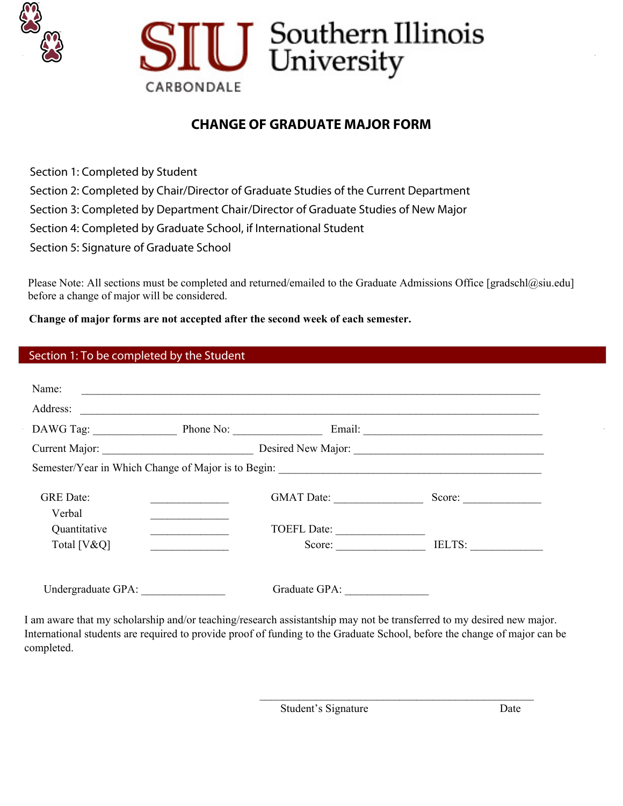



## **CHANGE OF GRADUATE MAJOR FORM**

Section 1: Completed by Student Section 2: Completed by Chair/Director of Graduate Studies of the Current Department Section 3: Completed by Department Chair/Director of Graduate Studies of New Major Section 4: Completed by Graduate School, if International Student Section 5: Signature of Graduate School

Please Note: All sections must be completed and returned/emailed to the Graduate Admissions Office [gradschl@siu.edu] before a before a change of major will be considered.

**Change of major forms are not accepted after the second week of each semester.**

|  | Section 1: To be completed by the Student |  |  |
|--|-------------------------------------------|--|--|
|  |                                           |  |  |

| Name:                       |                              |                                   |
|-----------------------------|------------------------------|-----------------------------------|
| Address:                    |                              |                                   |
|                             |                              | DAWG Tag: Phone No: Email: Email: |
|                             |                              |                                   |
|                             |                              |                                   |
| <b>GRE</b> Date:<br>Verbal  | GMAT Date:                   | Score:                            |
| Quantitative<br>Total [V&Q] | <b>TOEFL Date:</b><br>Score: | IELTS:                            |
| Undergraduate GPA:          |                              |                                   |

I am aware that my scholarship and/or teaching/research assistantship may not be transferred to my desired new major. International students are required to provide proof of funding to the Graduate School, before the change of major can be completed.

Student's Signature Date

 $\frac{1}{2}$  ,  $\frac{1}{2}$  ,  $\frac{1}{2}$  ,  $\frac{1}{2}$  ,  $\frac{1}{2}$  ,  $\frac{1}{2}$  ,  $\frac{1}{2}$  ,  $\frac{1}{2}$  ,  $\frac{1}{2}$  ,  $\frac{1}{2}$  ,  $\frac{1}{2}$  ,  $\frac{1}{2}$  ,  $\frac{1}{2}$  ,  $\frac{1}{2}$  ,  $\frac{1}{2}$  ,  $\frac{1}{2}$  ,  $\frac{1}{2}$  ,  $\frac{1}{2}$  ,  $\frac{1$